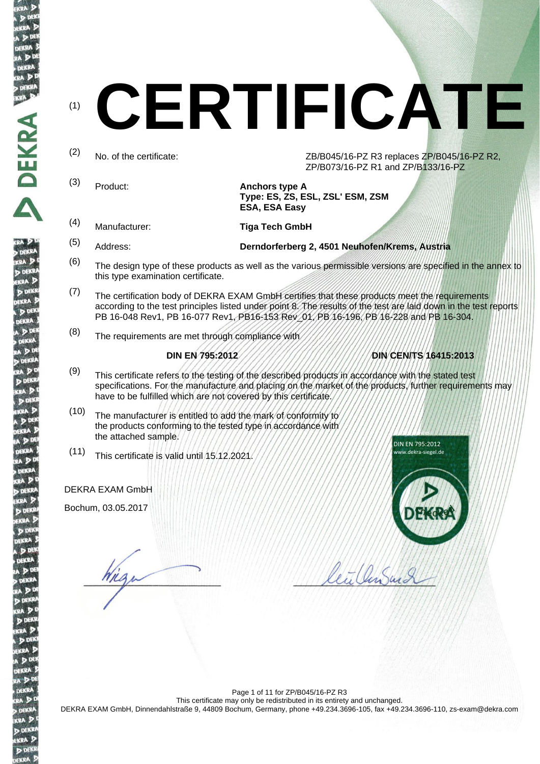DEKR

 $KRA$ D DEK

# (1) **CERTIFICATE**

(2) No. of the certificate:  $ZB/B045/16-PZ R3$  replaces  $ZP/B045/16-PZ R2$ , ZP/B073/16-PZ R1 and ZP/B133/16-PZ

- (3) Product: **Anchors type A Type: ES, ZS, ESL, ZSL' ESM, ZSM ESA, ESA Easy**
- 

(4) Manufacturer: **Tiga Tech GmbH**

- (5) Address: **Derndorferberg 2, 4501 Neuhofen/Krems, Austria**
- $(6)$  The design type of these products as well as the various permissible versions are specified in the annex to this type examination certificate.
- (7) The certification body of DEKRA EXAM GmbH certifies that these products meet the requirements according to the test principles listed under point 8. The results of the test are laid down in the test reports PB 16-048 Rev1, PB 16-077 Rev1, PB16-153 Rev 01, PB 16-196, PB 16-228 and PB 16-304.
- $(8)$  The requirements are met through compliance with

# **DIN EN 795:2012 DIN CEN/TS 16415:2013**

- (9) This certificate refers to the testing of the described products in accordance with the stated test specifications. For the manufacture and placing on the market of the products, further requirements may have to be fulfilled which are not covered by this certificate.
- (10) The manufacturer is entitled to add the mark of conformity to the products conforming to the tested type in accordance with the attached sample.
- (11) This certificate is valid until 15.12.2021.

## DEKRA EXAM GmbH

Bochum, 03.05.2017

Viza



Meet Can Suit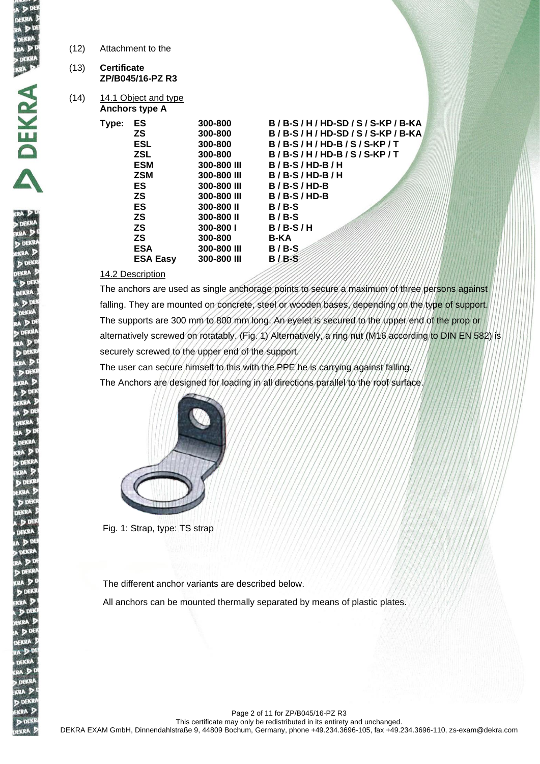| (12) | Attachment to the |
|------|-------------------|
|------|-------------------|

- (13) **Certificate ZP/B045/16-PZ R3**
- $(14)$  14.1 Object and type **Anchors type A**

| Type: | ES              | 300-800     | B/B-S/H/HD-SD/S/S-KP/B-KA |
|-------|-----------------|-------------|---------------------------|
|       | ΖS              | 300-800     | B/B-S/H/HD-SD/S/S-KP/B-KA |
|       | <b>ESL</b>      | 300-800     | $B/B-S/H/HD-B/S/S-KP/T$   |
|       | <b>ZSL</b>      | 300-800     | $B/B-S/H/HD-B/S/S-KP/T$   |
|       | <b>ESM</b>      | 300-800 III | $B/B-S/HD-B/H$            |
|       | <b>ZSM</b>      | 300-800 III | $B/B-S/HD-B/H$            |
|       | <b>ES</b>       | 300-800 III | $B/B-S/HD-B$              |
|       | <b>ZS</b>       | 300-800 III | $B/B-S/HD-B$              |
|       | ES              | 300-800 II  | $B/B-S$                   |
|       | <b>ZS</b>       | 300-800 II  | $B/B-S$                   |
|       | <b>ZS</b>       | 300-800 l   | $B/B-S/H$                 |
|       | <b>ZS</b>       | 300-800     | B-KA                      |
|       | <b>ESA</b>      | 300-800 III | $B/B-S$                   |
|       | <b>ESA Easy</b> | 300-800 III | $B/B-S$                   |
|       |                 |             |                           |

### 14.2 Description

The anchors are used as single anchorage points to secure a maximum of three persons against falling. They are mounted on concrete, steel or wooden bases, depending on the type of support. The supports are 300 mm to 800 mm long. An eyelet is secured to the upper end of the prop or alternatively screwed on rotatably. (Fig. 1) Alternatively, a ring nut (M16 according to DIN EN 582) is securely screwed to the upper end of the support.

The user can secure himself to this with the PPE he is carrying against falling. The Anchors are designed for loading in all directions parallel to the roof surface.



Fig. 1: Strap, type: TS strap

The different anchor variants are described below.

All anchors can be mounted thermally separated by means of plastic plates.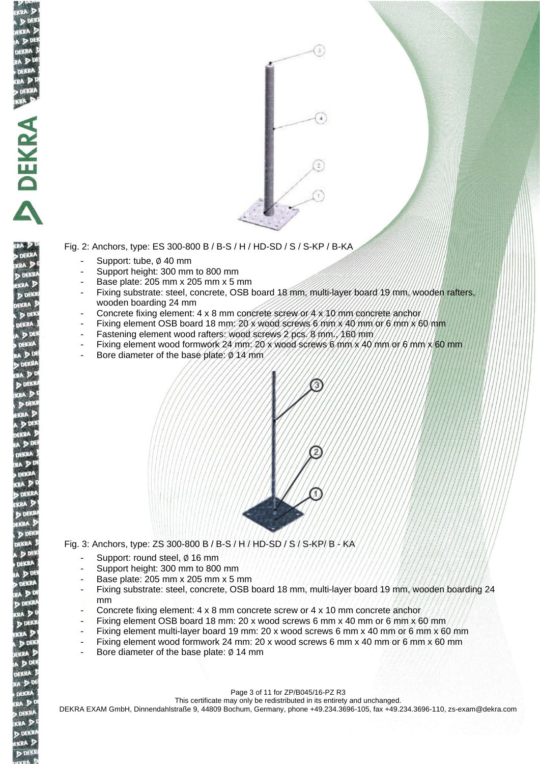

Fig. 2: Anchors, type: ES 300-800 B / B-S / H / HD-SD / S / S-KP / B-KA

Support: tube, Ø 40 mm

**NDEKRA SE** 

 $\sum$ 

DEKRA KRA D **D** DEKR **KRA**<sub>2</sub> **DEKI** 

- Support height: 300 mm to 800 mm
- Base plate: 205 mm x 205 mm x 5 mm
- Fixing substrate: steel, concrete, OSB board 18 mm, multi-layer board 19 mm, wooden rafters, wooden boarding 24 mm
- Concrete fixing element: 4 x 8 mm concrete screw or 4 x 10 mm concrete anchor
- Fixing element OSB board 18 mm: 20 x wood screws 6 mm x 40 mm or 6 mm x 60 mm
- Fastening element wood rafters: wood screws 2 pcs. 8 mm., 160 mm
- Fixing element wood formwork 24 mm:  $20$  x wood screws 6 mm  $\times$  40 mm/or 6 mm  $\times$  60 mm
- Bore diameter of the base plate: Ø 14 mm



Fig. 3: Anchors, type: ZS 300-800 B / B-S / H / HD-SD / S / S-KP/ B - KA

- Support: round steel, Ø 16 mm
- Support height: 300 mm to 800 mm
- Base plate: 205 mm x 205 mm x 5 mm
- Fixing substrate: steel, concrete, OSB board 18 mm, multi-layer board 19 mm, wooden boarding 24 mm
- Concrete fixing element: 4 x 8 mm concrete screw or 4 x 10 mm concrete anchor
- Fixing element OSB board 18 mm: 20 x wood screws 6 mm x 40 mm or 6 mm x 60 mm
- Fixing element multi-layer board 19 mm: 20 x wood screws 6 mm x 40 mm or 6 mm x 60 mm
- Fixing element wood formwork 24 mm: 20 x wood screws 6 mm x 40 mm or 6 mm x 60 mm
- Bore diameter of the base plate: Ø 14 mm

Page 3 of 11 for ZP/B045/16-PZ R3

This certificate may only be redistributed in its entirety and unchanged.

DEKRA EXAM GmbH, Dinnendahlstraße 9, 44809 Bochum, Germany, phone +49.234.3696-105, fax +49.234.3696-110, zs-exam@dekra.com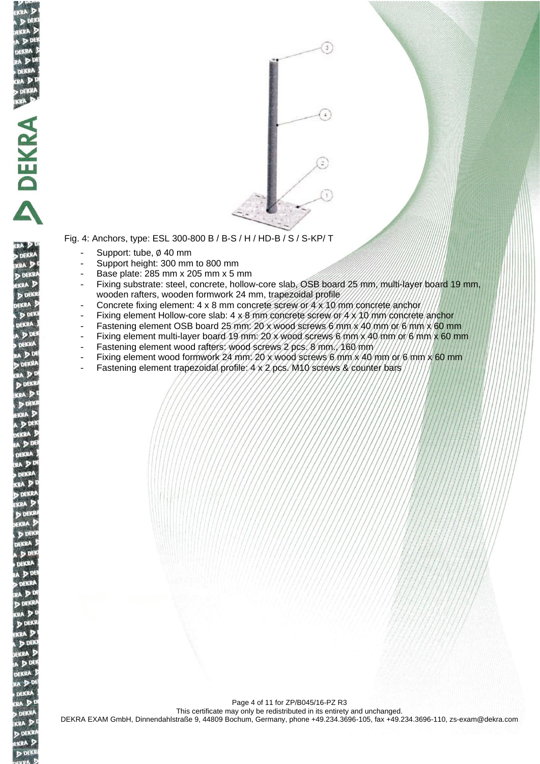

DEKRA **CAP D** DEKR KRA 2 **D** DEK



Fig. 4: Anchors, type: ESL 300-800 B / B-S / H / HD-B / S / S-KP/ T

- Support: tube, ∅ 40 mm
- Support height: 300 mm to 800 mm
- Base plate: 285 mm x 205 mm x 5 mm
- Fixing substrate: steel, concrete, hollow-core slab, OSB board 25 mm, multi-layer board 19 mm, wooden rafters, wooden formwork 24 mm, trapezoidal profile
- Concrete fixing element: 4 x 8 mm concrete screw or 4 x 10 mm concrete anchor
- Fixing element Hollow-core slab:  $4 \times 8$  mm concrete screw or  $4 \times 10$  mm concrete anchor
- Fastening element OSB board 25 mm: 20 x wood screws 6 mm x 40 mm or 6 mm x 60 mm
- Fixing element multi-layer board 19 mm: 20 x wood screws 6 mm x 40 mm or 6 mm x 60 mm
- Fastening element wood rafters: wood screws 2 pcs. 8 mm./160 mm
- Fixing element wood formwork 24 mm; 20 x wood screws 6 mm  $\times$  40 mm or 6 mm  $\times$  60 mm
- Fastening element trapezoidal profile: 4 x 2 pcs. M10 screws & counter bars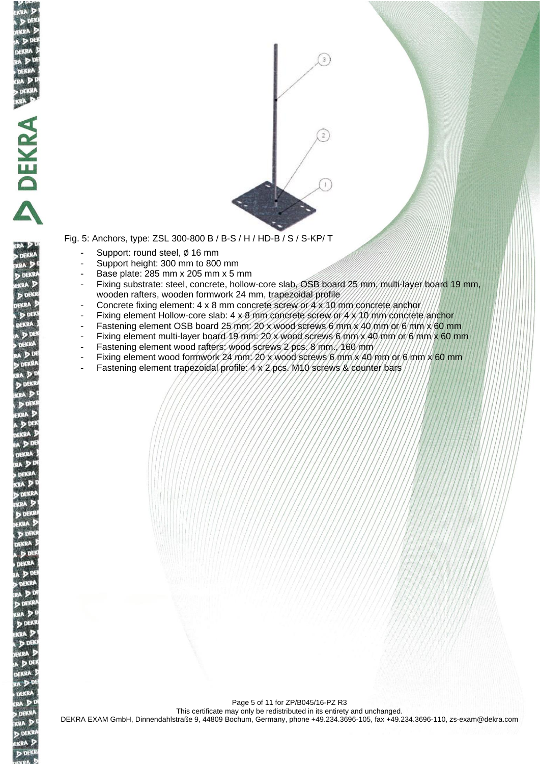

DEKRA KRA D **D** DEKR KRA 2 **D** DEK

Fig. 5: Anchors, type: ZSL 300-800 B / B-S / H / HD-B / S / S-KP/ T

- Support: round steel, ∅ 16 mm
- Support height: 300 mm to 800 mm
- Base plate: 285 mm x 205 mm x 5 mm
- Fixing substrate: steel, concrete, hollow-core slab, OSB board 25 mm, multi-layer board 19 mm, wooden rafters, wooden formwork 24 mm, trapezoidal profile
- Concrete fixing element: 4 x 8 mm concrete screw or 4 x 10 mm concrete anchor
- Fixing element Hollow-core slab:  $4 \times 8$  mm concrete screw or  $4 \times 10$  mm concrete anchor
- Fastening element OSB board 25 mm: 20 x wood screws 6 mm x 40 mm or 6 mm x 60 mm
- Fixing element multi-layer board 19 mm: 20 x wood screws 6 mm x 40 mm or 6 mm x 60 mm
- Fastening element wood rafters: wood screws 2 pcs. 8 mm./160 mm
- Fixing element wood formwork 24 mm; 20 x wood screws 6 mm  $x$  40 mm or 6 mm  $x$  60 mm
- Fastening element trapezoidal profile: 4 x 2 pcs. M10 screws & counter bars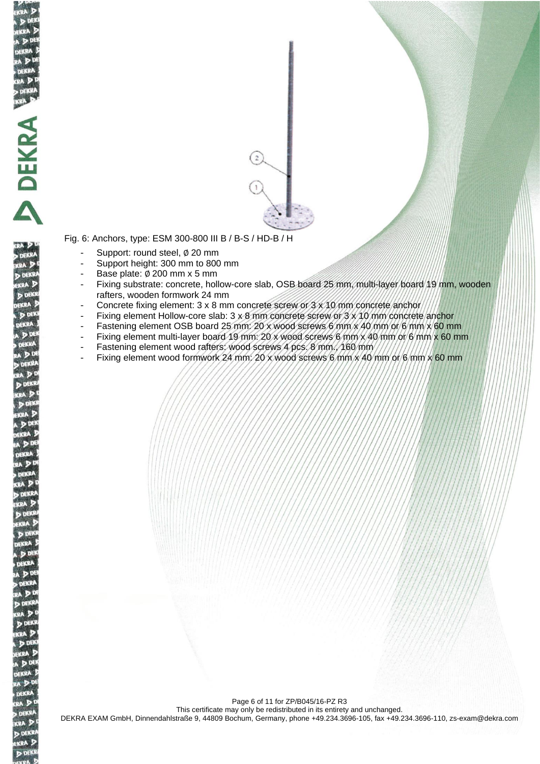

DEKR KRA D **D** DEKR KRA 2 **P** DEK

Fig. 6: Anchors, type: ESM 300-800 III B / B-S / HD-B / H

- Support: round steel, ∅ 20 mm
- Support height: 300 mm to 800 mm
- Base plate: ∅ 200 mm x 5 mm
- Fixing substrate: concrete, hollow-core slab, OSB board 25 mm, multi-layer board 19 mm, wooden rafters, wooden formwork 24 mm
- Concrete fixing element: 3 x 8 mm concrete screw or 3 x 10 mm concrete anchor
- Fixing element Hollow-core slab: 3 x 8 mm concrete screw or 3 x 10 mm concrete anchor
- Fastening element OSB board 25 mm: 20 x wood screws 6 mm x 40 mm or 6 mm x 60 mm
- Fixing element multi-layer board 19 mm: 20 x wood screws 6 mm x 40 mm or 6 mm x 60 mm
- Fastening element wood rafters: wood screws 4 pcs. 8 mm., 160 mm
- Fixing element wood formwork 24 mm;  $20 \times w$  ood screws 6 mm  $\times$  40 mm or 6 mm  $\times$  60 mm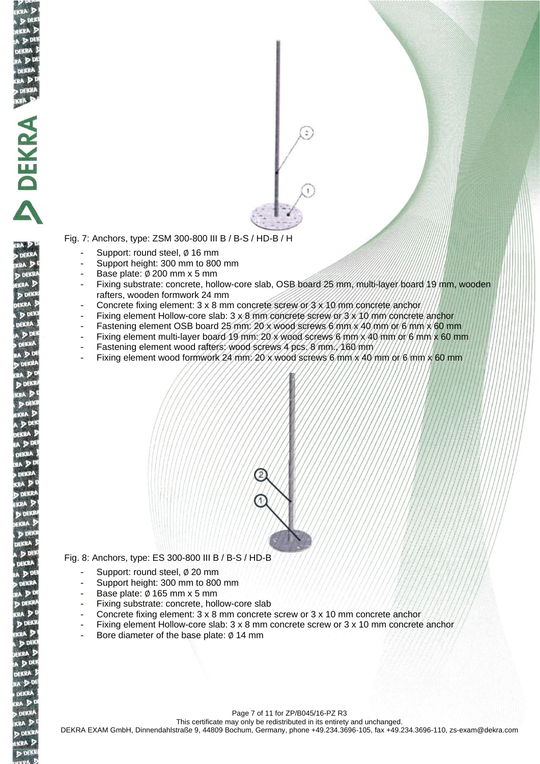

**DEKK** 

**D** DEKS **KRA D DEK** 

Fig. 7: Anchors, type: ZSM 300-800 III B / B-S / HD-B / H

- Support: round steel, Ø 16 mm
- Support height: 300 mm to 800 mm
- Base plate: ∅ 200 mm x 5 mm
- Fixing substrate: concrete, hollow-core slab, OSB board 25 mm, multi-layer board 19 mm, wooden rafters, wooden formwork 24 mm
- Concrete fixing element: 3 x 8 mm concrete screw or 3 x 10 mm concrete anchor
- Fixing element Hollow-core slab: 3 x 8 mm concrete screw or 3 x 10 mm concrete anchor
- Fastening element OSB board 25 mm: 20 x wood screws 6 mm x 40 mm or 6 mm x 60 mm
- Fixing element multi-layer board 19 mm: 20 x wood screws 6 mm x 40 mm or 6 mm x 60 mm
- Fastening element wood rafters: wood screws 4 pcs. 8 mm., 160 mm
- Fixing element wood formwork 24 mm:  $20 \times w$ ood screws 6 mm  $\times$  40 mm or 6 mm  $\times$  60 mm

Fig. 8: Anchors, type: ES 300-800 III B / B-S / HD-B

- Support: round steel, ∅ 20 mm
- Support height: 300 mm to 800 mm
- Base plate:  $Ø$  165 mm  $x$  5 mm
- Fixing substrate: concrete, hollow-core slab
- Concrete fixing element: 3 x 8 mm concrete screw or 3 x 10 mm concrete anchor
- Fixing element Hollow-core slab:  $3 \times 8$  mm concrete screw or  $3 \times 10$  mm concrete anchor
- Bore diameter of the base plate:  $Ø$  14 mm

Page 7 of 11 for ZP/B045/16-PZ R3 This certificate may only be redistributed in its entirety and unchanged. DEKRA EXAM GmbH, Dinnendahlstraße 9, 44809 Bochum, Germany, phone +49.234.3696-105, fax +49.234.3696-110, zs-exam@dekra.com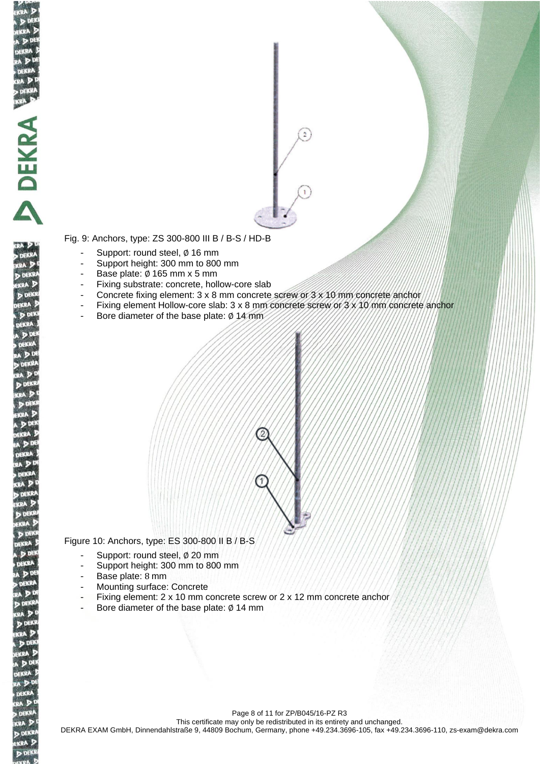

DEKR KRA D **DEKR** KRA 2 **P** DEK



Fig. 9: Anchors, type: ZS 300-800 III B / B-S / HD-B

- Support: round steel, ∅ 16 mm
- Support height: 300 mm to 800 mm
- Base plate: ∅ 165 mm x 5 mm
- Fixing substrate: concrete, hollow-core slab
- Concrete fixing element: 3 x 8 mm concrete screw or 3 x 10 mm concrete anchor
- Fixing element Hollow-core slab: 3 x 8 mm concrete screw or 3 x 10 mm concrete anchor
	- Bore diameter of the base plate: Ø 14 mm



Figure 10: Anchors, type: ES 300-800 II B / B-S

- Support: round steel, ∅ 20 mm
- Support height: 300 mm to 800 mm
- Base plate: 8 mm
- Mounting surface: Concrete
- Fixing element: 2 x 10 mm concrete screw or 2 x 12 mm concrete anchor
- Bore diameter of the base plate: ∅ 14 mm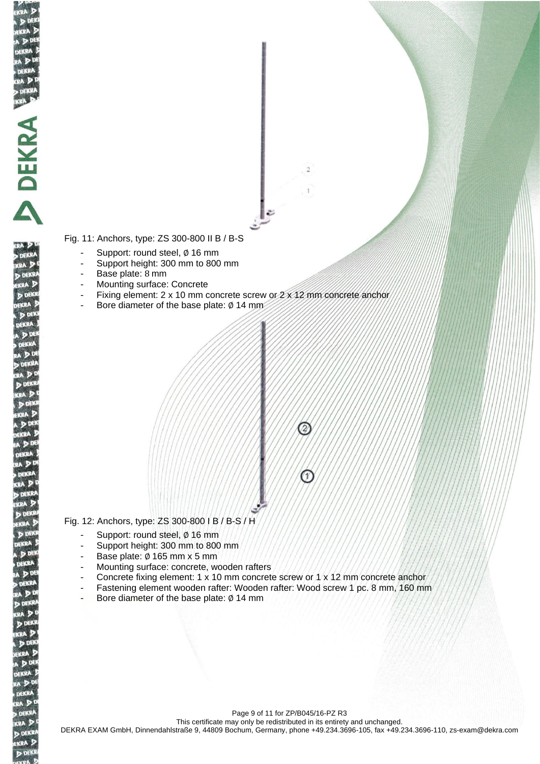Fig. 11: Anchors, type: ZS 300-800 II B / B-S

- Support: round steel, ∅ 16 mm
- Support height: 300 mm to 800 mm
- Base plate: 8 mm

**READENTS** 

DEKR KRA D **DEKR** KRA 2 **P DEKI** 

- Mounting surface: Concrete
- Fixing element: 2 x 10 mm concrete screw or  $2 \times 12$  mm concrete anchor

 $\mathfrak{D}$ 

 $\mathcal{P}$ 

Bore diameter of the base plate: Ø 14 mm



- Support: round steel, ∅ 16 mm

- Support height: 300 mm to 800 mm
- Base plate: ∅ 165 mm x 5 mm
- Mounting surface: concrete, wooden rafters
- Concrete fixing element: 1 x 10 mm concrete screw or 1 x 12 mm concrete anchor
- Fastening element wooden rafter: Wooden rafter: Wood screw 1 pc. 8 mm, 160 mm
- Bore diameter of the base plate: ∅ 14 mm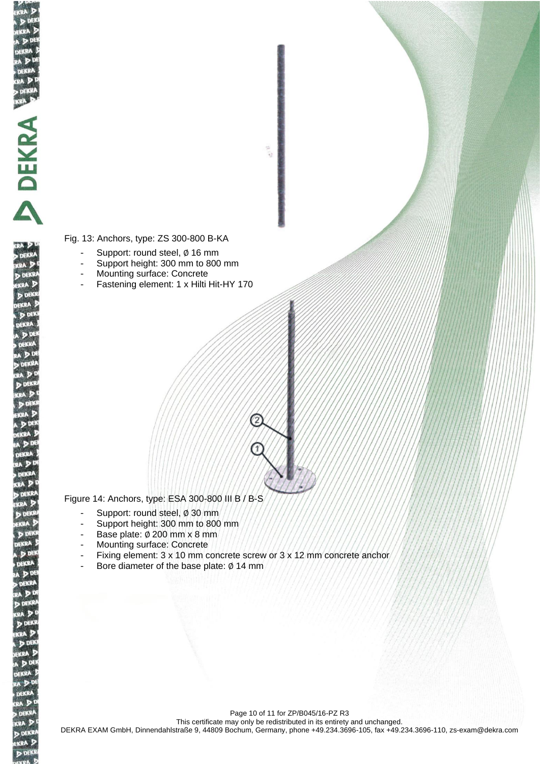

DEKR KRA D **DEKR** KRA 2 **DEKI**